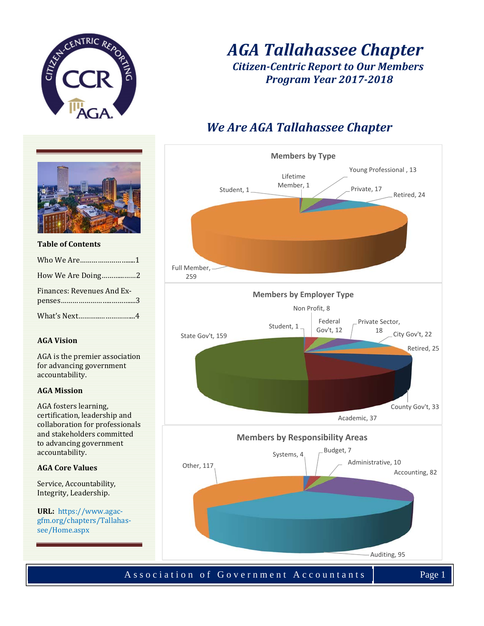

# *AGA Tallahassee Chapter Citizen‐Centric Report to Our Members Program Year 2017‐2018*

# *We Are AGA Tallahassee Chapter*



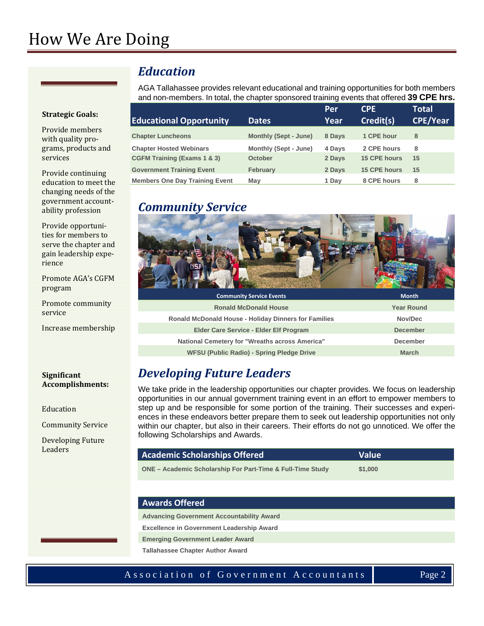# How We Are Doing

#### **Strategic Goals:**

Provide members with quality programs, products and services 

Provide continuing education to meet the changing needs of the government accountability profession

Provide opportunities for members to serve the chapter and gain leadership experience 

Promote AGA's CGFM program 

Promote community service 

Increase membership 

#### **Significant Accomplishments:**

Education 

Community Service 

Developing Future **Leaders** 

### *Education*

AGA Tallahassee provides relevant educational and training opportunities for both members and non-members. In total, the chapter sponsored training events that offered **39 CPE hrs.** 

|                                        |                              | Per    | <b>CPE</b>          | <b>Total</b>    |
|----------------------------------------|------------------------------|--------|---------------------|-----------------|
| <b>Educational Opportunity</b>         | <b>Dates</b>                 | Year   | Credit(s)           | <b>CPE/Year</b> |
| <b>Chapter Luncheons</b>               | <b>Monthly (Sept - June)</b> | 8 Days | 1 CPE hour          | 8               |
| <b>Chapter Hosted Webinars</b>         | Monthly (Sept - June)        | 4 Days | 2 CPE hours         | 8               |
| <b>CGFM Training (Exams 1 &amp; 3)</b> | October                      | 2 Days | 15 CPE hours        | 15              |
| <b>Government Training Event</b>       | <b>February</b>              | 2 Days | <b>15 CPE hours</b> | 15              |
| <b>Members One Day Training Event</b>  | May                          | 1 Dav  | 8 CPE hours         | 8               |

### *Community Service*



| <b>Community Service Events</b>                             | <b>Month</b>      |
|-------------------------------------------------------------|-------------------|
| <b>Ronald McDonald House</b>                                | <b>Year Round</b> |
| <b>Ronald McDonald House - Holiday Dinners for Families</b> | Nov/Dec           |
| Elder Care Service - Elder Elf Program                      | <b>December</b>   |
| National Cemetery for "Wreaths across America"              | <b>December</b>   |
| <b>WFSU (Public Radio) - Spring Pledge Drive</b>            | <b>March</b>      |

# *Developing Future Leaders*

We take pride in the leadership opportunities our chapter provides. We focus on leadership opportunities in our annual government training event in an effort to empower members to step up and be responsible for some portion of the training. Their successes and experiences in these endeavors better prepare them to seek out leadership opportunities not only within our chapter, but also in their careers. Their efforts do not go unnoticed. We offer the following Scholarships and Awards.

| Academic Scholarships Offered                              | <b>Value</b> |
|------------------------------------------------------------|--------------|
| ONE – Academic Scholarship For Part-Time & Full-Time Study | \$1,000      |

#### **Awards Offered**

**Advancing Government Accountability Award**

**Excellence in Government Leadership Award** 

**Emerging Government Leader Award** 

**Tallahassee Chapter Author Award**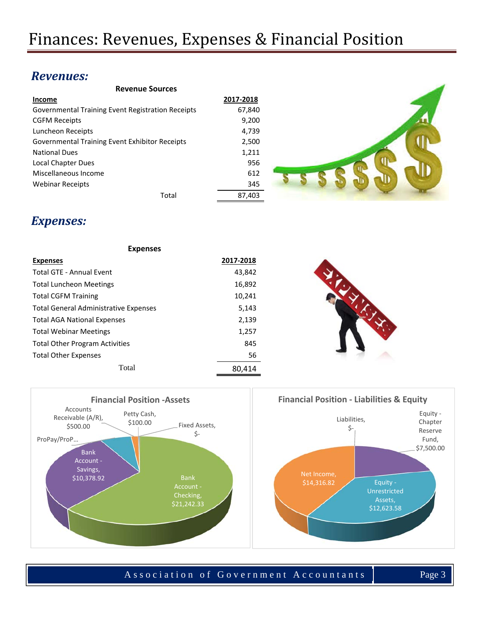### *Revenues:*

| <b>Revenue Sources</b>                            |           |  |
|---------------------------------------------------|-----------|--|
| Income                                            | 2017-2018 |  |
| Governmental Training Event Registration Receipts | 67,840    |  |
| <b>CGFM Receipts</b>                              | 9,200     |  |
| Luncheon Receipts                                 | 4,739     |  |
| Governmental Training Event Exhibitor Receipts    | 2,500     |  |
| <b>National Dues</b>                              | 1,211     |  |
| Local Chapter Dues                                | 956       |  |
| Miscellaneous Income                              | 612       |  |
| <b>Webinar Receipts</b>                           | 345       |  |
| Total                                             | 87,403    |  |

## *Expenses:*

| <b>Expenses</b>                              |           |  |
|----------------------------------------------|-----------|--|
| <b>Expenses</b>                              | 2017-2018 |  |
| <b>Total GTE - Annual Event</b>              | 43,842    |  |
| <b>Total Luncheon Meetings</b>               | 16,892    |  |
| <b>Total CGFM Training</b>                   | 10,241    |  |
| <b>Total General Administrative Expenses</b> | 5,143     |  |
| <b>Total AGA National Expenses</b>           | 2,139     |  |
| <b>Total Webinar Meetings</b>                | 1,257     |  |
| <b>Total Other Program Activities</b>        | 845       |  |
| <b>Total Other Expenses</b>                  | 56        |  |
| Total                                        | 80,414    |  |